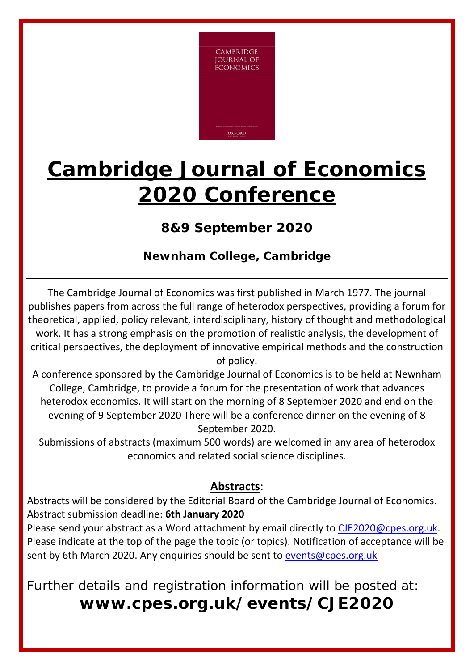

## **Cambridge Journal of Economics 2020 Conference**

## **8&9 September 2020**

## **Newnham College, Cambridge**

The Cambridge Journal of Economics was first published in March 1977. The journal publishes papers from across the full range of heterodox perspectives, providing a forum for theoretical, applied, policy relevant, interdisciplinary, history of thought and methodological work. It has a strong emphasis on the promotion of realistic analysis, the development of critical perspectives, the deployment of innovative empirical methods and the construction of policy.

A conference sponsored by the Cambridge Journal of Economics is to be held at Newnham College, Cambridge, to provide a forum for the presentation of work that advances heterodox economics. It will start on the morning of 8 September 2020 and end on the evening of 9 September 2020 There will be a conference dinner on the evening of 8 September 2020.

Submissions of abstracts (maximum 500 words) are welcomed in any area of heterodox economics and related social science disciplines.

## **Abstracts**:

Abstracts will be considered by the Editorial Board of the Cambridge Journal of Economics. Abstract submission deadline: **6th January 2020**

Please send your abstract as a Word attachment by email directly to CJE2020@cpes.org.uk. Please indicate at the top of the page the topic (or topics). Notification of acceptance will be sent by 6th March 2020. Any enquiries should be sent to events@cpes.org.uk

Further details and registration information will be posted at: **www.cpes.org.uk/events/CJE2020**